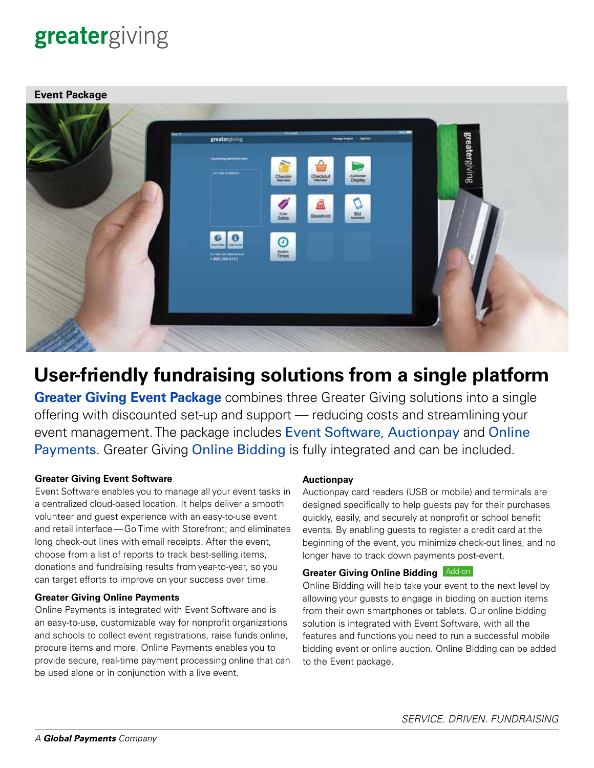# greatergiving



# **User-friendly fundraising solutions from a single platform**

**[Greater Giving Event](https://www.greatergiving.com/en/solutions/event-software) Package** combines three Greater Giving solutions into a single offering with discounted set-up and support — reducing costs and streamlining your event management. The package includes [Event Software](https://www.greatergiving.com/en/solutions/event-software), [Auctionpay](https://www.greatergiving.com/en/solutions/auctionpay) and [Online](https://www.greatergiving.com/en/solutions/online-payments)  [Payments](https://www.greatergiving.com/en/solutions/online-payments). Greater Giving [Online Bidding](https://www.greatergiving.com/en/solutions/online-bidding) is fully integrated and can be included.

#### **Greater Giving Event Software**

Event Software enables you to manage all your event tasks in a centralized cloud-based location. It helps deliver a smooth volunteer and guest experience with an easy-to-use event and retail interface—Go Time with Storefront; and eliminates long check-out lines with email receipts. After the event, choose from a list of reports to track best-selling items, donations and fundraising results from year-to-year, so you can target efforts to improve on your success over time.

#### **Greater Giving Online Payments**

Online Payments is integrated with Event Software and is an easy-to-use, customizable way for nonprofit organizations and schools to collect event registrations, raise funds online, procure items and more. Online Payments enables you to provide secure, real-time payment processing online that can be used alone or in conjunction with a live event.

#### **Auctionpay**

Auctionpay card readers (USB or mobile) and terminals are designed specifically to help guests pay for their purchases quickly, easily, and securely at nonprofit or school benefit events. By enabling guests to register a credit card at the beginning of the event, you minimize check-out lines, and no longer have to track down payments post-event.

#### **Greater Giving Online Bidding** Add-on

Online Bidding will help take your event to the next level by allowing your guests to engage in bidding on auction items from their own smartphones or tablets. Our online bidding solution is integrated with Event Software, with all the features and functions you need to run a successful mobile bidding event or online auction. Online Bidding can be added to the Event package.